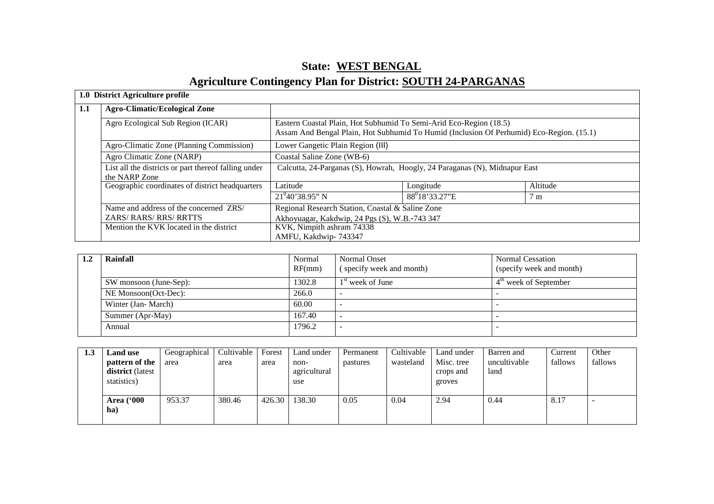# **State: WEST BENGAL**

# **Agriculture Contingency Plan for District: SOUTH 24-PARGANAS**

|         | 1.0 District Agriculture profile                                      |                                                                                                                                                                |                            |                |  |  |  |
|---------|-----------------------------------------------------------------------|----------------------------------------------------------------------------------------------------------------------------------------------------------------|----------------------------|----------------|--|--|--|
| $1.1\,$ | <b>Agro-Climatic/Ecological Zone</b>                                  |                                                                                                                                                                |                            |                |  |  |  |
|         | Agro Ecological Sub Region (ICAR)                                     | Eastern Coastal Plain, Hot Subhumid To Semi-Arid Eco-Region (18.5)<br>Assam And Bengal Plain, Hot Subhumid To Humid (Inclusion Of Perhumid) Eco-Region. (15.1) |                            |                |  |  |  |
|         | Agro-Climatic Zone (Planning Commission)                              | Lower Gangetic Plain Region (III)                                                                                                                              |                            |                |  |  |  |
|         | Agro Climatic Zone (NARP)                                             | Coastal Saline Zone (WB-6)                                                                                                                                     |                            |                |  |  |  |
|         | List all the districts or part thereof falling under<br>the NARP Zone | Calcutta, 24-Parganas (S), Howrah, Hoogly, 24 Paraganas (N), Midnapur East                                                                                     |                            |                |  |  |  |
|         | Geographic coordinates of district headquarters                       | Latitude                                                                                                                                                       | Longitude                  | Altitude       |  |  |  |
|         |                                                                       | $21^{0}40'38.95''$ N                                                                                                                                           | 88 <sup>0</sup> 18'33.27"E | 7 <sub>m</sub> |  |  |  |
|         | Name and address of the concerned ZRS/                                | Regional Research Station, Coastal & Saline Zone                                                                                                               |                            |                |  |  |  |
|         | ZARS/RARS/RRS/RRTTS                                                   | Akhoyuagar, Kakdwip, 24 Pgs (S), W.B.-743 347                                                                                                                  |                            |                |  |  |  |
|         | Mention the KVK located in the district                               | KVK, Nimpith ashram 74338                                                                                                                                      |                            |                |  |  |  |
|         |                                                                       | AMFU, Kakdwip-743347                                                                                                                                           |                            |                |  |  |  |

| 1.2 | Normal<br>Rainfall<br>RF(mm) |        | Normal Onset<br>(specify week and month) | Normal Cessation<br>(specify week and month) |
|-----|------------------------------|--------|------------------------------------------|----------------------------------------------|
|     | SW monsoon (June-Sep):       | 1302.8 | $1st$ week of June                       | $4m$ week of September                       |
|     | NE Monsoon(Oct-Dec):         | 266.0  |                                          |                                              |
|     | Winter (Jan-March)           | 60.00  |                                          |                                              |
|     | Summer (Apr-May)             | 167.40 |                                          |                                              |
|     | Annual                       | 1796.2 |                                          |                                              |

| 1.3 | <b>Land</b> use                                          | Geographical | Cultivable | Forest | Land under                  | Permanent | Cultivable | Land under                        | Barren and           | Current | Other   |
|-----|----------------------------------------------------------|--------------|------------|--------|-----------------------------|-----------|------------|-----------------------------------|----------------------|---------|---------|
|     | pattern of the<br><b>district</b> (latest<br>statistics) | area         | area       | area   | non-<br>agricultural<br>use | pastures  | wasteland  | Misc. tree<br>crops and<br>groves | uncultivable<br>land | fallows | fallows |
|     | <b>Area</b> ('000<br>ha                                  | 953.37       | 380.46     | 426.30 | 138.30                      | 0.05      | 0.04       | 2.94                              | 0.44                 | 8.17    |         |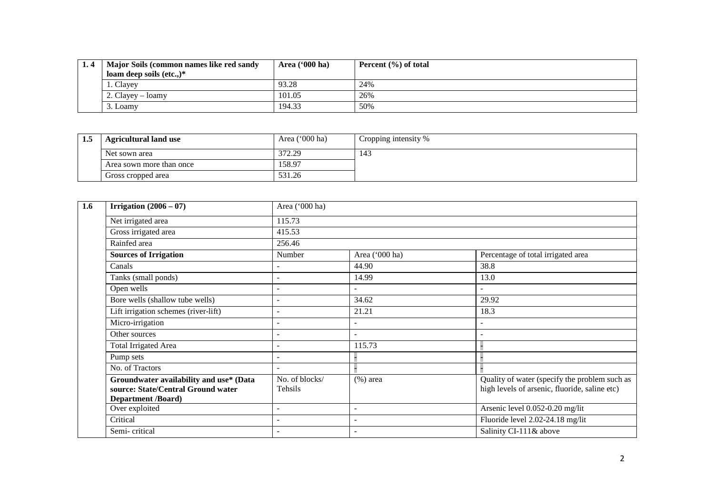| Major Soils (common names like red sandy | Area $(900 \text{ ha})$ | Percent $(\% )$ of total |
|------------------------------------------|-------------------------|--------------------------|
| loam deep soils (etc.,) $*$              |                         |                          |
| 1. Clayey                                | 93.28                   | 24%                      |
| 2. Clayey – loamy                        | 101.05                  | 26%                      |
| 3. Loamy                                 | 194.33                  | 50%                      |

| 1.3 | <b>Agricultural land use</b> | Area $('000 ha)$ | Cropping intensity % |
|-----|------------------------------|------------------|----------------------|
|     | Net sown area                | 372.29           | 143                  |
|     | Area sown more than once     | 158.97           |                      |
|     | Gross cropped area           | 531.26           |                      |

| 1.6 | Irrigation $(2006 - 07)$                                                                                   | Area ('000 ha)            |                          |                                                                                                |  |  |  |  |
|-----|------------------------------------------------------------------------------------------------------------|---------------------------|--------------------------|------------------------------------------------------------------------------------------------|--|--|--|--|
|     | Net irrigated area                                                                                         | 115.73                    |                          |                                                                                                |  |  |  |  |
|     | Gross irrigated area                                                                                       | 415.53                    |                          |                                                                                                |  |  |  |  |
|     | Rainfed area                                                                                               | 256.46                    |                          |                                                                                                |  |  |  |  |
|     | <b>Sources of Irrigation</b>                                                                               | Number                    | Area ('000 ha)           | Percentage of total irrigated area                                                             |  |  |  |  |
|     | Canals                                                                                                     |                           | 44.90                    | 38.8                                                                                           |  |  |  |  |
|     | Tanks (small ponds)                                                                                        |                           | 14.99                    | 13.0                                                                                           |  |  |  |  |
|     | Open wells                                                                                                 |                           |                          | $\overline{\phantom{a}}$                                                                       |  |  |  |  |
|     | Bore wells (shallow tube wells)                                                                            |                           | 34.62                    | 29.92                                                                                          |  |  |  |  |
|     | Lift irrigation schemes (river-lift)                                                                       |                           | 21.21                    | 18.3                                                                                           |  |  |  |  |
|     | Micro-irrigation                                                                                           |                           |                          | $\overline{\phantom{a}}$                                                                       |  |  |  |  |
|     | Other sources                                                                                              | $\qquad \qquad -$         | $\overline{\phantom{a}}$ | $\overline{\phantom{0}}$                                                                       |  |  |  |  |
|     | <b>Total Irrigated Area</b>                                                                                |                           | 115.73                   |                                                                                                |  |  |  |  |
|     | Pump sets                                                                                                  |                           |                          |                                                                                                |  |  |  |  |
|     | No. of Tractors                                                                                            |                           |                          |                                                                                                |  |  |  |  |
|     | Groundwater availability and use* (Data<br>source: State/Central Ground water<br><b>Department /Board)</b> | No. of blocks/<br>Tehsils | $(\%)$ area              | Quality of water (specify the problem such as<br>high levels of arsenic, fluoride, saline etc) |  |  |  |  |
|     | Over exploited                                                                                             |                           |                          | Arsenic level 0.052-0.20 mg/lit                                                                |  |  |  |  |
|     | Critical                                                                                                   |                           |                          | Fluoride level 2.02-24.18 mg/lit                                                               |  |  |  |  |
|     | Semi-critical                                                                                              |                           | $\overline{\phantom{a}}$ | Salinity CI-111& above                                                                         |  |  |  |  |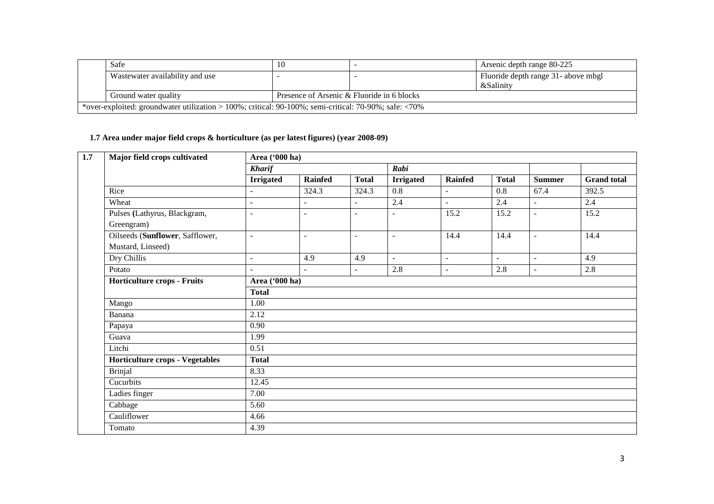| Safe                                                                                                          |                                            |  | Arsenic depth range 80-225                       |  |  |  |  |
|---------------------------------------------------------------------------------------------------------------|--------------------------------------------|--|--------------------------------------------------|--|--|--|--|
| Wastewater availability and use                                                                               |                                            |  | Fluoride depth range 31- above mbgl<br>&Salinity |  |  |  |  |
| Ground water quality                                                                                          | Presence of Arsenic & Fluoride in 6 blocks |  |                                                  |  |  |  |  |
| *over-exploited: groundwater utilization > 100%; critical: $90-100\%$ ; semi-critical: $70-90\%$ ; safe: <70% |                                            |  |                                                  |  |  |  |  |

#### **1.7 Area under major field crops & horticulture (as per latest figures) (year 2008-09)**

| Major field crops cultivated                         | Area ('000 ha)   |                          |                |                  |                          |                          |                          |                    |  |  |  |
|------------------------------------------------------|------------------|--------------------------|----------------|------------------|--------------------------|--------------------------|--------------------------|--------------------|--|--|--|
|                                                      | <b>Kharif</b>    |                          |                | Rabi             |                          |                          |                          |                    |  |  |  |
|                                                      | <b>Irrigated</b> | <b>Rainfed</b>           | <b>Total</b>   | <b>Irrigated</b> | <b>Rainfed</b>           | <b>Total</b>             | <b>Summer</b>            | <b>Grand</b> total |  |  |  |
| Rice                                                 | ۰                | 324.3                    | 324.3          | 0.8              | $\overline{\phantom{a}}$ | 0.8                      | 67.4                     | 392.5              |  |  |  |
| Wheat                                                | $\overline{a}$   | $\overline{a}$           | $\overline{a}$ | 2.4              | $\overline{a}$           | 2.4                      | $\overline{a}$           | 2.4                |  |  |  |
| Pulses (Lathyrus, Blackgram,<br>Greengram)           | L,               | $\sim$                   | $\blacksquare$ |                  | 15.2                     | 15.2                     | $\overline{\phantom{0}}$ | 15.2               |  |  |  |
| Oilseeds (Sunflower, Safflower,<br>Mustard, Linseed) | $\mathbf{r}$     | $\sim$                   | $\sim$         | $\blacksquare$   | 14.4                     | 14.4                     | $\overline{a}$           | 14.4               |  |  |  |
| Dry Chillis                                          | $\blacksquare$   | 4.9                      | 4.9            | $\blacksquare$   | $\blacksquare$           | $\overline{\phantom{a}}$ | $\blacksquare$           | 4.9                |  |  |  |
| Potato                                               | ÷.               | $\overline{\phantom{a}}$ | $\sim$         | 2.8              | $\blacksquare$           | 2.8                      | $\overline{\phantom{a}}$ | 2.8                |  |  |  |
| <b>Horticulture crops - Fruits</b>                   | Area ('000 ha)   |                          |                |                  |                          |                          |                          |                    |  |  |  |
|                                                      | <b>Total</b>     |                          |                |                  |                          |                          |                          |                    |  |  |  |
| Mango                                                | 1.00             |                          |                |                  |                          |                          |                          |                    |  |  |  |
| Banana                                               | 2.12             |                          |                |                  |                          |                          |                          |                    |  |  |  |
| Papaya                                               | 0.90             |                          |                |                  |                          |                          |                          |                    |  |  |  |
| Guava                                                | 1.99             |                          |                |                  |                          |                          |                          |                    |  |  |  |
| Litchi                                               | 0.51             |                          |                |                  |                          |                          |                          |                    |  |  |  |
| <b>Horticulture crops - Vegetables</b>               | <b>Total</b>     |                          |                |                  |                          |                          |                          |                    |  |  |  |
| <b>Brinjal</b>                                       | 8.33             |                          |                |                  |                          |                          |                          |                    |  |  |  |
| Cucurbits                                            | 12.45            |                          |                |                  |                          |                          |                          |                    |  |  |  |
| Ladies finger                                        | 7.00             |                          |                |                  |                          |                          |                          |                    |  |  |  |
| Cabbage                                              | 5.60             |                          |                |                  |                          |                          |                          |                    |  |  |  |
| Cauliflower                                          | 4.66             |                          |                |                  |                          |                          |                          |                    |  |  |  |
| Tomato                                               | 4.39             |                          |                |                  |                          |                          |                          |                    |  |  |  |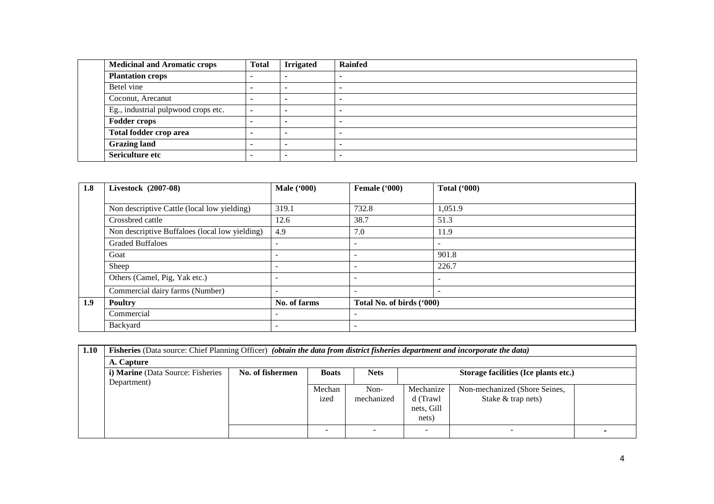| <b>Medicinal and Aromatic crops</b> | <b>Total</b> | <b>Irrigated</b> | <b>Rainfed</b> |
|-------------------------------------|--------------|------------------|----------------|
| <b>Plantation crops</b>             |              |                  |                |
| Betel vine                          |              |                  |                |
| Coconut, Arecanut                   |              |                  |                |
| Eg., industrial pulpwood crops etc. |              |                  |                |
| <b>Fodder crops</b>                 |              |                  |                |
| Total fodder crop area              |              |                  |                |
| <b>Grazing land</b>                 |              |                  |                |
| Sericulture etc                     |              |                  |                |

| 1.8 | Livestock (2007-08)                            | <b>Male</b> ('000)       | Female ('000)             | <b>Total ('000)</b>      |
|-----|------------------------------------------------|--------------------------|---------------------------|--------------------------|
|     |                                                |                          |                           |                          |
|     | Non descriptive Cattle (local low yielding)    | 319.1                    | 732.8                     | 1,051.9                  |
|     | Crossbred cattle                               | 12.6                     | 38.7                      | 51.3                     |
|     | Non descriptive Buffaloes (local low yielding) | 4.9                      | 7.0                       | 11.9                     |
|     | <b>Graded Buffaloes</b>                        | $\overline{\phantom{0}}$ |                           | $\overline{\phantom{a}}$ |
|     | Goat                                           | $\overline{\phantom{0}}$ | ۰                         | 901.8                    |
|     | Sheep                                          | $\overline{\phantom{0}}$ | ۰                         | 226.7                    |
|     | Others (Camel, Pig, Yak etc.)                  | $\overline{\phantom{0}}$ | ۰                         | $\overline{\phantom{a}}$ |
|     | Commercial dairy farms (Number)                | $\overline{\phantom{a}}$ |                           | $\overline{\phantom{0}}$ |
| 1.9 | <b>Poultry</b>                                 | No. of farms             | Total No. of birds ('000) |                          |
|     | Commercial                                     | $\overline{\phantom{0}}$ | ۰                         |                          |
|     | Backyard                                       | $\overline{\phantom{0}}$ | ۰                         |                          |

| 1.10 | Fisheries (Data source: Chief Planning Officer) (obtain the data from district fisheries department and incorporate the data) |                  |              |             |            |                                      |  |  |  |  |
|------|-------------------------------------------------------------------------------------------------------------------------------|------------------|--------------|-------------|------------|--------------------------------------|--|--|--|--|
|      | A. Capture                                                                                                                    |                  |              |             |            |                                      |  |  |  |  |
|      | <i>i</i> ) Marine (Data Source: Fisheries                                                                                     | No. of fishermen | <b>Boats</b> | <b>Nets</b> |            | Storage facilities (Ice plants etc.) |  |  |  |  |
|      | Department)                                                                                                                   |                  |              |             |            |                                      |  |  |  |  |
|      |                                                                                                                               |                  | Mechan       | Non-        | Mechanize  | Non-mechanized (Shore Seines,        |  |  |  |  |
|      |                                                                                                                               |                  | ized         | mechanized  | d (Trawl   | Stake $&$ trap nets)                 |  |  |  |  |
|      |                                                                                                                               |                  |              |             | nets, Gill |                                      |  |  |  |  |
|      |                                                                                                                               |                  |              |             | nets)      |                                      |  |  |  |  |
|      |                                                                                                                               |                  |              |             |            |                                      |  |  |  |  |
|      |                                                                                                                               |                  |              |             |            |                                      |  |  |  |  |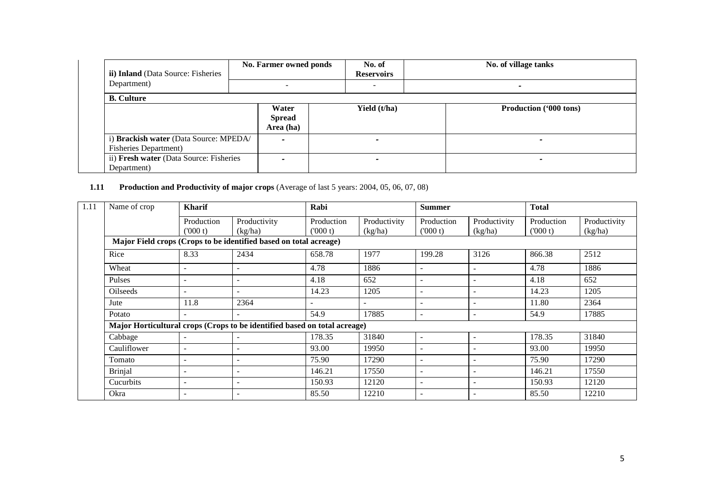| ii) Inland (Data Source: Fisheries                                      | No. Farmer owned ponds              | No. of<br><b>Reservoirs</b> | No. of village tanks     |  |
|-------------------------------------------------------------------------|-------------------------------------|-----------------------------|--------------------------|--|
| Department)                                                             |                                     |                             | $\overline{\phantom{0}}$ |  |
| <b>B.</b> Culture                                                       |                                     |                             |                          |  |
|                                                                         | Water<br><b>Spread</b><br>Area (ha) | Yield (t/ha)                | Production ('000 tons)   |  |
| i) Brackish water (Data Source: MPEDA/<br><b>Fisheries Department</b> ) | $\overline{\phantom{0}}$            |                             |                          |  |
| ii) Fresh water (Data Source: Fisheries<br>Department)                  |                                     |                             | -                        |  |

# **1.11 Production and Productivity of major crops** (Average of last 5 years: 2004, 05, 06, 07, 08)

| 1.11 | <b>Kharif</b><br>Name of crop                                             |                          |                          | Rabi                  |                         | <b>Summer</b>            |                          | <b>Total</b>          |                         |  |  |
|------|---------------------------------------------------------------------------|--------------------------|--------------------------|-----------------------|-------------------------|--------------------------|--------------------------|-----------------------|-------------------------|--|--|
|      |                                                                           | Production<br>(000 t)    | Productivity<br>(kg/ha)  | Production<br>(000 t) | Productivity<br>(kg/ha) | Production<br>(000 t)    | Productivity<br>(kg/ha)  | Production<br>(000 t) | Productivity<br>(kg/ha) |  |  |
|      | Major Field crops (Crops to be identified based on total acreage)         |                          |                          |                       |                         |                          |                          |                       |                         |  |  |
|      | Rice                                                                      | 8.33                     | 2434                     | 658.78                | 1977                    | 199.28                   | 3126                     | 866.38                | 2512                    |  |  |
|      | Wheat                                                                     |                          |                          | 4.78                  | 1886                    |                          |                          | 4.78                  | 1886                    |  |  |
|      | Pulses                                                                    | $\overline{\phantom{a}}$ | $\overline{\phantom{0}}$ | 4.18                  | 652                     |                          |                          | 4.18                  | 652                     |  |  |
|      | Oilseeds                                                                  | $\overline{\phantom{a}}$ | $\overline{\phantom{a}}$ | 14.23                 | 1205                    |                          |                          | 14.23                 | 1205                    |  |  |
|      | Jute                                                                      | 11.8                     | 2364                     |                       |                         |                          |                          | 11.80                 | 2364                    |  |  |
|      | Potato                                                                    |                          |                          | 54.9                  | 17885                   |                          | $\overline{\phantom{a}}$ | 54.9                  | 17885                   |  |  |
|      | Major Horticultural crops (Crops to be identified based on total acreage) |                          |                          |                       |                         |                          |                          |                       |                         |  |  |
|      | Cabbage                                                                   | $\overline{\phantom{a}}$ |                          | 178.35                | 31840                   | ۰                        |                          | 178.35                | 31840                   |  |  |
|      | Cauliflower                                                               | $\overline{\phantom{a}}$ |                          | 93.00                 | 19950                   | $\overline{\phantom{0}}$ |                          | 93.00                 | 19950                   |  |  |
|      | Tomato                                                                    | $\overline{\phantom{a}}$ |                          | 75.90                 | 17290                   |                          |                          | 75.90                 | 17290                   |  |  |
|      | <b>Brinjal</b>                                                            | $\overline{\phantom{a}}$ | $\overline{\phantom{0}}$ | 146.21                | 17550                   |                          |                          | 146.21                | 17550                   |  |  |
|      | Cucurbits                                                                 | $\overline{\phantom{a}}$ | ۰                        | 150.93                | 12120                   |                          |                          | 150.93                | 12120                   |  |  |
|      | Okra                                                                      | $\overline{\phantom{a}}$ | $\overline{\phantom{a}}$ | 85.50                 | 12210                   |                          |                          | 85.50                 | 12210                   |  |  |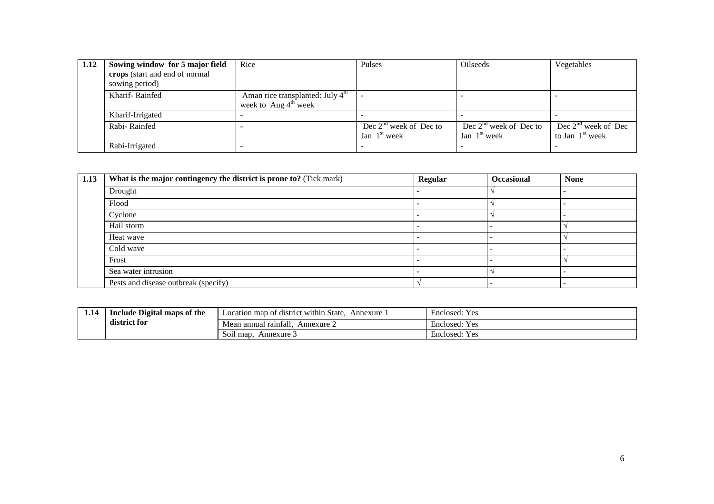| 1.12 | Sowing window for 5 major field | Rice                                                                             | Pulses                   | Oilseeds                 | Vegetables            |
|------|---------------------------------|----------------------------------------------------------------------------------|--------------------------|--------------------------|-----------------------|
|      | crops (start and end of normal  |                                                                                  |                          |                          |                       |
|      | sowing period)                  |                                                                                  |                          |                          |                       |
|      | Kharif-Rainfed                  | Aman rice transplanted: July 4 <sup>th</sup><br>week to Aug $4^{\text{th}}$ week |                          |                          |                       |
|      | Kharif-Irrigated                |                                                                                  |                          |                          |                       |
|      | Rabi-Rainfed                    |                                                                                  | Dec $2nd$ week of Dec to | Dec $2nd$ week of Dec to | Dec $2nd$ week of Dec |
|      |                                 |                                                                                  | Jan $1st$ week           | Jan $1st$ week           | to Jan $1st$ week     |
|      | Rabi-Irrigated                  |                                                                                  |                          |                          |                       |

| 1.13 | What is the major contingency the district is prone to? (Tick mark) | Regular | <b>Occasional</b> | <b>None</b> |
|------|---------------------------------------------------------------------|---------|-------------------|-------------|
|      | Drought                                                             |         |                   |             |
|      | Flood                                                               |         |                   |             |
|      | Cyclone                                                             |         |                   |             |
|      | Hail storm                                                          |         |                   |             |
|      | Heat wave                                                           |         |                   |             |
|      | Cold wave                                                           |         |                   |             |
|      | Frost                                                               |         |                   |             |
|      | Sea water intrusion                                                 |         |                   |             |
|      | Pests and disease outbreak (specify)                                |         |                   |             |

| 1.14 | Include Digital maps of the | State<br>Location map of district within<br>Annexure | $ -$<br>Enclosed:<br>Yec<br>1 U. |
|------|-----------------------------|------------------------------------------------------|----------------------------------|
|      | district for                | Mean annual rainfall.<br>Annexure 2                  | Enclosed:<br><b>Yes</b>          |
|      |                             | Soil map.<br>Annexure .                              | $ -$<br>Enclosed:<br><b>Yes</b>  |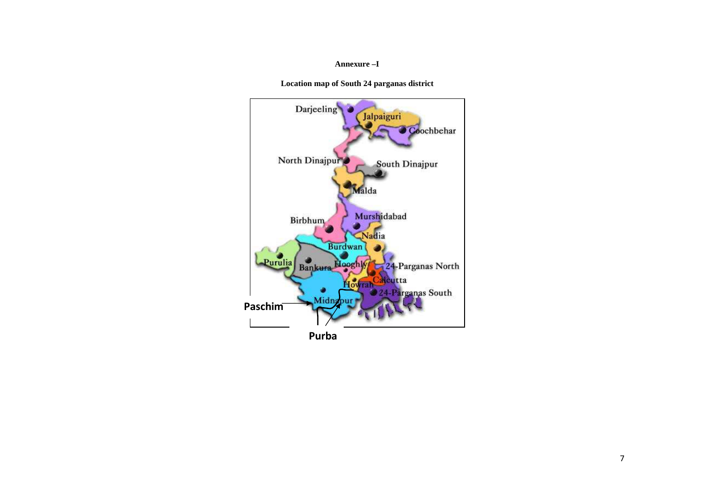# **Annexure –I**

**Location map of South 24 parganas district** 



**Purba**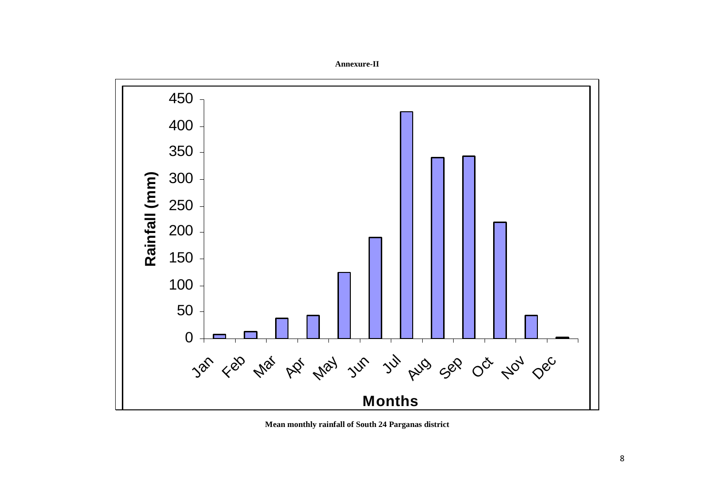Rainfall (mm) **Rainfall (mm)**  $3a^{\rho}$  <ep  $4a^{\rho}$  be  $4a^{\rho}$   $7a^{\rho}$   $3a^{\rho}$   $6a^{\rho}$   $0a^{\rho}$   $4a^{\rho}$   $0a^{\rho}$ **Months**

**Annexure-II** 

**Mean monthly rainfall of South 24 Parganas district**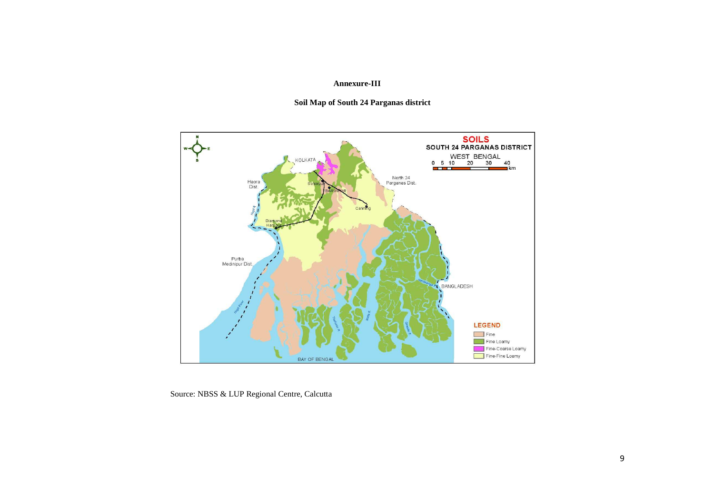# **Annexure-III**

# **Soil Map of South 24 Parganas district**



Source: NBSS & LUP Regional Centre, Calcutta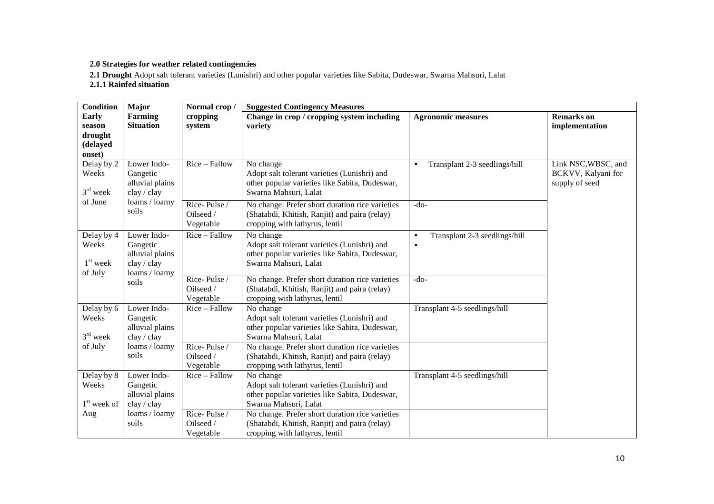# **2.0 Strategies for weather related contingencies**

**2.1 Drought** Adopt salt tolerant varieties (Lunishri) and other popular varieties like Sabita, Dudeswar, Swarna Mahsuri, Lalat

**2.1.1 Rainfed situation** 

| <b>Condition</b>                                 | Major                                                                      | Normal crop/                           | <b>Suggested Contingency Measures</b>                                                                                                |                                                         |                                                             |  |
|--------------------------------------------------|----------------------------------------------------------------------------|----------------------------------------|--------------------------------------------------------------------------------------------------------------------------------------|---------------------------------------------------------|-------------------------------------------------------------|--|
| Early<br>season<br>drought<br>(delayed<br>onset) | <b>Farming</b><br><b>Situation</b>                                         | cropping<br>system                     | Change in crop / cropping system including<br>variety                                                                                | <b>Agronomic measures</b>                               | <b>Remarks</b> on<br>implementation                         |  |
| Delay by 2<br>Weeks<br>$3rd$ week                | Rice - Fallow<br>Lower Indo-<br>Gangetic<br>alluvial plains<br>clay / clay |                                        | No change<br>Adopt salt tolerant varieties (Lunishri) and<br>other popular varieties like Sabita, Dudeswar,<br>Swarna Mahsuri, Lalat | Transplant 2-3 seedlings/hill<br>$\bullet$              | Link NSC, WBSC, and<br>BCKVV, Kalyani for<br>supply of seed |  |
| of June                                          | loams / loamy<br>soils                                                     | Rice-Pulse/<br>Oilseed /<br>Vegetable  | No change. Prefer short duration rice varieties<br>(Shatabdi, Khitish, Ranjit) and paira (relay)<br>cropping with lathyrus, lentil   | $-do-$                                                  |                                                             |  |
| Delay by 4<br>Weeks<br>$1st$ week<br>of July     | Lower Indo-<br>Gangetic<br>alluvial plains<br>clay / clay<br>loams / loamy | Rice - Fallow                          | No change<br>Adopt salt tolerant varieties (Lunishri) and<br>other popular varieties like Sabita, Dudeswar,<br>Swarna Mahsuri, Lalat | Transplant 2-3 seedlings/hill<br>$\bullet$<br>$\bullet$ |                                                             |  |
|                                                  | soils                                                                      | Rice-Pulse/<br>Oilseed /<br>Vegetable  | No change. Prefer short duration rice varieties<br>(Shatabdi, Khitish, Ranjit) and paira (relay)<br>cropping with lathyrus, lentil   | $-do-$                                                  |                                                             |  |
| Delay by 6<br>Weeks<br>$3rd$ week                | Lower Indo-<br>Gangetic<br>alluvial plains<br>clay / clay                  | Rice - Fallow                          | No change<br>Adopt salt tolerant varieties (Lunishri) and<br>other popular varieties like Sabita, Dudeswar,<br>Swarna Mahsuri, Lalat | Transplant 4-5 seedlings/hill                           |                                                             |  |
| of July                                          | loams / loamy<br>soils                                                     | Rice-Pulse /<br>Oilseed /<br>Vegetable | No change. Prefer short duration rice varieties<br>(Shatabdi, Khitish, Ranjit) and paira (relay)<br>cropping with lathyrus, lentil   |                                                         |                                                             |  |
| Delay by 8<br>Weeks<br>$1st$ week of             | Lower Indo-<br>Gangetic<br>alluvial plains<br>clay / clay                  | Rice - Fallow                          | No change<br>Adopt salt tolerant varieties (Lunishri) and<br>other popular varieties like Sabita, Dudeswar,<br>Swarna Mahsuri, Lalat | Transplant 4-5 seedlings/hill                           |                                                             |  |
| Aug                                              | loams / loamy<br>soils                                                     | Rice-Pulse/<br>Oilseed /<br>Vegetable  | No change. Prefer short duration rice varieties<br>(Shatabdi, Khitish, Ranjit) and paira (relay)<br>cropping with lathyrus, lentil   |                                                         |                                                             |  |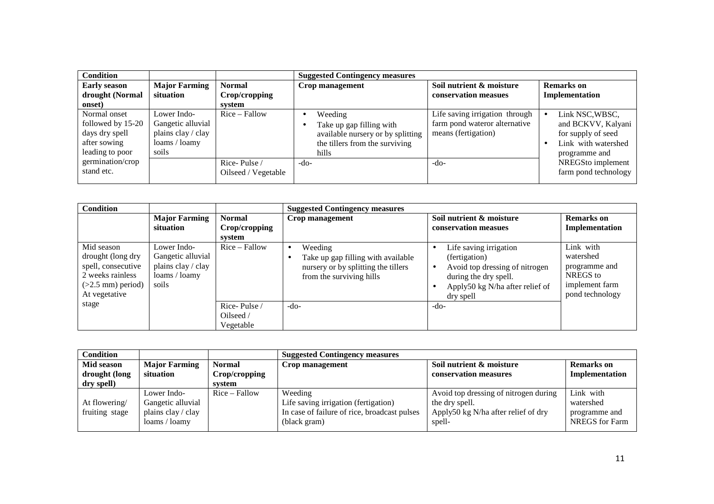| <b>Condition</b>                                                                       |                                                                                  |                                          | <b>Suggested Contingency measures</b>                                                                               |                                                                                        |                                                                                                                       |
|----------------------------------------------------------------------------------------|----------------------------------------------------------------------------------|------------------------------------------|---------------------------------------------------------------------------------------------------------------------|----------------------------------------------------------------------------------------|-----------------------------------------------------------------------------------------------------------------------|
| <b>Early season</b><br>drought (Normal<br>onset)                                       | <b>Major Farming</b><br>situation                                                | <b>Normal</b><br>Crop/cropping<br>svstem | Crop management                                                                                                     | Soil nutrient & moisture<br>conservation measues                                       | <b>Remarks</b> on<br>Implementation                                                                                   |
| Normal onset<br>followed by 15-20<br>days dry spell<br>after sowing<br>leading to poor | Lower Indo-<br>Gangetic alluvial<br>plains clay / clay<br>loams / loamy<br>soils | $Rice - Fallow$                          | Weeding<br>Take up gap filling with<br>available nursery or by splitting<br>the tillers from the surviving<br>hills | Life saving irrigation through<br>farm pond wateror alternative<br>means (fertigation) | Link NSC, WBSC,<br>$\bullet$<br>and BCKVV, Kalyani<br>for supply of seed<br>Link with watershed<br>٠<br>programme and |
| germination/crop<br>stand etc.                                                         |                                                                                  | Rice-Pulse/<br>Oilseed / Vegetable       | $-do-$                                                                                                              | -do-                                                                                   | NREGSto implement<br>farm pond technology                                                                             |

| <b>Condition</b>                                                                                                  |                                                                                  |                                          | <b>Suggested Contingency measures</b>                                                                            |                                                                                                                                                    |                                                                                          |
|-------------------------------------------------------------------------------------------------------------------|----------------------------------------------------------------------------------|------------------------------------------|------------------------------------------------------------------------------------------------------------------|----------------------------------------------------------------------------------------------------------------------------------------------------|------------------------------------------------------------------------------------------|
|                                                                                                                   | <b>Major Farming</b><br>situation                                                | <b>Normal</b><br>Crop/cropping<br>svstem | Crop management                                                                                                  | Soil nutrient & moisture<br>conservation measues                                                                                                   | Remarks on<br>Implementation                                                             |
| Mid season<br>drought (long dry<br>spell, consecutive<br>2 weeks rainless<br>$(>2.5$ mm) period)<br>At vegetative | Lower Indo-<br>Gangetic alluvial<br>plains clay / clay<br>loams / loamy<br>soils | $Rice - Fallow$                          | Weeding<br>Take up gap filling with available<br>nursery or by splitting the tillers<br>from the surviving hills | Life saving irrigation<br>(fertigation)<br>Avoid top dressing of nitrogen<br>during the dry spell.<br>Apply50 kg N/ha after relief of<br>dry spell | Link with<br>watershed<br>programme and<br>NREGS to<br>implement farm<br>pond technology |
| stage                                                                                                             |                                                                                  | Rice-Pulse/<br>Oilseed /<br>Vegetable    | $-do-$                                                                                                           | -do-                                                                                                                                               |                                                                                          |

| <b>Condition</b> |                      |                 | <b>Suggested Contingency measures</b>        |                                       |                       |  |
|------------------|----------------------|-----------------|----------------------------------------------|---------------------------------------|-----------------------|--|
| Mid season       | <b>Major Farming</b> | <b>Normal</b>   | Crop management                              | Soil nutrient & moisture              | <b>Remarks</b> on     |  |
| drought (long    | situation            | Crop/cropping   |                                              | conservation measures                 | Implementation        |  |
| dry spell)       |                      | system          |                                              |                                       |                       |  |
|                  | Lower Indo-          | $Rice - Fallow$ | Weeding                                      | Avoid top dressing of nitrogen during | Link with             |  |
| At flowering/    | Gangetic alluvial    |                 | Life saving irrigation (fertigation)         | the dry spell.                        | watershed             |  |
| fruiting stage   | plains clay / clay   |                 | In case of failure of rice, broadcast pulses | Apply50 kg N/ha after relief of dry   | programme and         |  |
|                  | loams / loamv        |                 | (black gram)                                 | spell-                                | <b>NREGS</b> for Farm |  |
|                  |                      |                 |                                              |                                       |                       |  |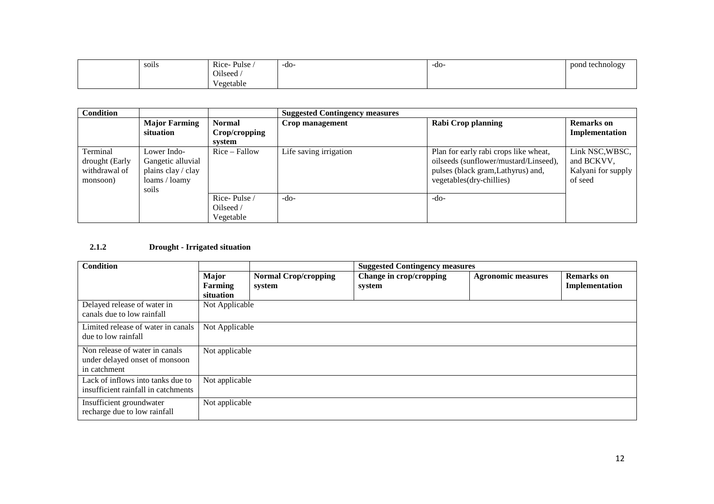| $\cdot$ $\cdot$<br>soils | Pulse.<br>Rice | $-do-$ | $-do-$ | pond technology<br><u>.</u> |
|--------------------------|----------------|--------|--------|-----------------------------|
|                          | Oilseed,       |        |        |                             |
|                          | Vegetable      |        |        |                             |

| <b>Condition</b> |                      |                 | <b>Suggested Contingency measures</b> |                                       |                       |  |
|------------------|----------------------|-----------------|---------------------------------------|---------------------------------------|-----------------------|--|
|                  | <b>Major Farming</b> | <b>Normal</b>   | Crop management                       | <b>Rabi Crop planning</b>             |                       |  |
|                  | situation            | Crop/cropping   |                                       |                                       | <b>Implementation</b> |  |
|                  |                      | system          |                                       |                                       |                       |  |
| Terminal         | Lower Indo-          | $Rice - Fallow$ | Life saving irrigation                | Plan for early rabi crops like wheat, | Link NSC, WBSC,       |  |
| drought (Early   | Gangetic alluvial    |                 |                                       | oilseeds (sunflower/mustard/Linseed), | and BCKVV.            |  |
| withdrawal of    | plains clay / clay   |                 |                                       | pulses (black gram, Lathyrus) and,    | Kalyani for supply    |  |
| monsoon)         | loams / loamy        |                 |                                       | vegetables(dry-chillies)              | of seed               |  |
|                  | soils                |                 |                                       |                                       |                       |  |
|                  |                      | Rice-Pulse/     | $-do-$                                | $-do-$                                |                       |  |
|                  |                      | Oilseed /       |                                       |                                       |                       |  |
|                  |                      | Vegetable       |                                       |                                       |                       |  |

# **2.1.2 Drought - Irrigated situation**

| <b>Condition</b>                                                                 |                                      |                                       | <b>Suggested Contingency measures</b> |                           |                                     |  |
|----------------------------------------------------------------------------------|--------------------------------------|---------------------------------------|---------------------------------------|---------------------------|-------------------------------------|--|
|                                                                                  | <b>Major</b><br>Farming<br>situation | <b>Normal Crop/cropping</b><br>system | Change in crop/cropping<br>system     | <b>Agronomic measures</b> | <b>Remarks</b> on<br>Implementation |  |
| Delayed release of water in<br>canals due to low rainfall                        | Not Applicable                       |                                       |                                       |                           |                                     |  |
| Limited release of water in canals<br>due to low rainfall                        | Not Applicable                       |                                       |                                       |                           |                                     |  |
| Non release of water in canals<br>under delayed onset of monsoon<br>in catchment | Not applicable                       |                                       |                                       |                           |                                     |  |
| Lack of inflows into tanks due to<br>insufficient rainfall in catchments         | Not applicable                       |                                       |                                       |                           |                                     |  |
| Insufficient groundwater<br>recharge due to low rainfall                         | Not applicable                       |                                       |                                       |                           |                                     |  |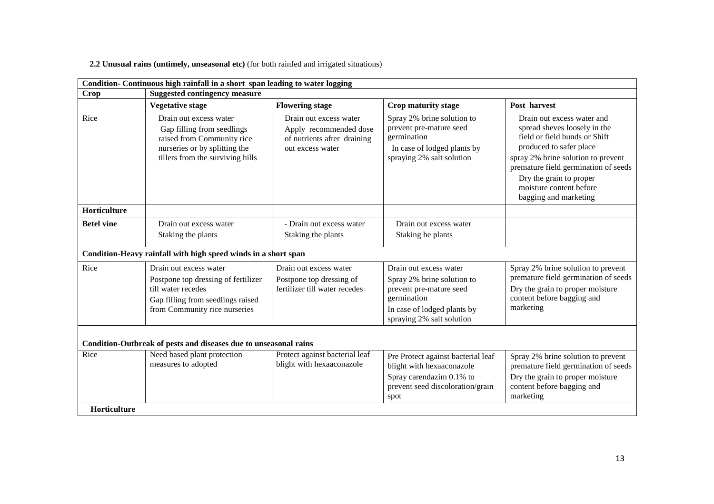**2.2 Unusual rains (untimely, unseasonal etc)** (for both rainfed and irrigated situations)

| Condition- Continuous high rainfall in a short span leading to water logging |                                                                                                                                                           |                                                                                                     |                                                                                                                                                            |                                                                                                                                                                                                                                                                                     |  |  |  |  |
|------------------------------------------------------------------------------|-----------------------------------------------------------------------------------------------------------------------------------------------------------|-----------------------------------------------------------------------------------------------------|------------------------------------------------------------------------------------------------------------------------------------------------------------|-------------------------------------------------------------------------------------------------------------------------------------------------------------------------------------------------------------------------------------------------------------------------------------|--|--|--|--|
| <b>Crop</b>                                                                  | <b>Suggested contingency measure</b>                                                                                                                      |                                                                                                     |                                                                                                                                                            |                                                                                                                                                                                                                                                                                     |  |  |  |  |
|                                                                              | <b>Vegetative stage</b>                                                                                                                                   | <b>Flowering stage</b>                                                                              | Crop maturity stage                                                                                                                                        | Post harvest                                                                                                                                                                                                                                                                        |  |  |  |  |
| Rice                                                                         | Drain out excess water<br>Gap filling from seedlings<br>raised from Community rice<br>nurseries or by splitting the<br>tillers from the surviving hills   | Drain out excess water<br>Apply recommended dose<br>of nutrients after draining<br>out excess water | Spray 2% brine solution to<br>prevent pre-mature seed<br>germination<br>In case of lodged plants by<br>spraying 2% salt solution                           | Drain out excess water and<br>spread sheves loosely in the<br>field or field bunds or Shift<br>produced to safer place<br>spray 2% brine solution to prevent<br>premature field germination of seeds<br>Dry the grain to proper<br>moisture content before<br>bagging and marketing |  |  |  |  |
| Horticulture                                                                 |                                                                                                                                                           |                                                                                                     |                                                                                                                                                            |                                                                                                                                                                                                                                                                                     |  |  |  |  |
| <b>Betel vine</b>                                                            | Drain out excess water<br>Staking the plants                                                                                                              | - Drain out excess water<br>Staking the plants                                                      | Drain out excess water<br>Staking he plants                                                                                                                |                                                                                                                                                                                                                                                                                     |  |  |  |  |
|                                                                              | Condition-Heavy rainfall with high speed winds in a short span                                                                                            |                                                                                                     |                                                                                                                                                            |                                                                                                                                                                                                                                                                                     |  |  |  |  |
| Rice                                                                         | Drain out excess water<br>Postpone top dressing of fertilizer<br>till water recedes<br>Gap filling from seedlings raised<br>from Community rice nurseries | Drain out excess water<br>Postpone top dressing of<br>fertilizer till water recedes                 | Drain out excess water<br>Spray 2% brine solution to<br>prevent pre-mature seed<br>germination<br>In case of lodged plants by<br>spraying 2% salt solution | Spray 2% brine solution to prevent<br>premature field germination of seeds<br>Dry the grain to proper moisture<br>content before bagging and<br>marketing                                                                                                                           |  |  |  |  |
|                                                                              | Condition-Outbreak of pests and diseases due to unseasonal rains                                                                                          |                                                                                                     |                                                                                                                                                            |                                                                                                                                                                                                                                                                                     |  |  |  |  |
| Rice<br>Horticulture                                                         | Need based plant protection<br>measures to adopted                                                                                                        | Protect against bacterial leaf<br>blight with hexaaconazole                                         | Pre Protect against bacterial leaf<br>blight with hexaaconazole<br>Spray carendazim 0.1% to<br>prevent seed discoloration/grain<br>spot                    | Spray 2% brine solution to prevent<br>premature field germination of seeds<br>Dry the grain to proper moisture<br>content before bagging and<br>marketing                                                                                                                           |  |  |  |  |
|                                                                              |                                                                                                                                                           |                                                                                                     |                                                                                                                                                            |                                                                                                                                                                                                                                                                                     |  |  |  |  |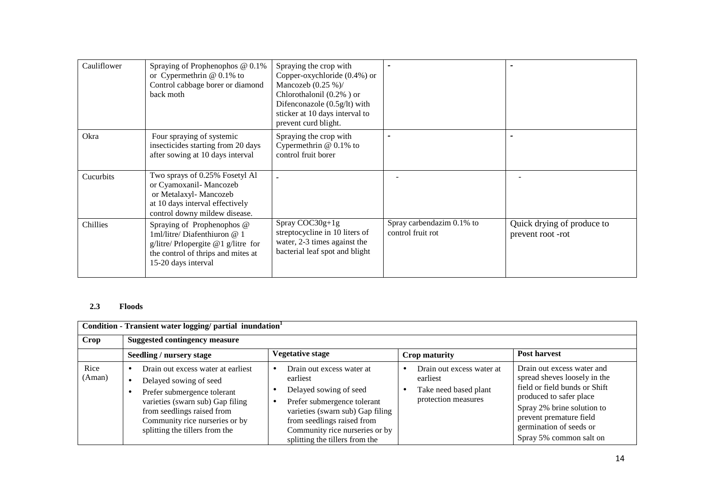| Cauliflower | Spraying of Prophenophos $@0.1\%$<br>or Cypermethrin $@0.1\%$ to<br>Control cabbage borer or diamond<br>back moth                                                   | Spraying the crop with<br>Copper-oxychloride (0.4%) or<br>Mancozeb $(0.25\%)$<br>Chlorothalonil (0.2%) or<br>Difenconazole $(0.5g/lt)$ with<br>sticker at 10 days interval to<br>prevent curd blight. |                                                |                                                 |
|-------------|---------------------------------------------------------------------------------------------------------------------------------------------------------------------|-------------------------------------------------------------------------------------------------------------------------------------------------------------------------------------------------------|------------------------------------------------|-------------------------------------------------|
| Okra        | Four spraying of systemic<br>insecticides starting from 20 days<br>after sowing at 10 days interval                                                                 | Spraying the crop with<br>Cypermethrin $@$ 0.1% to<br>control fruit borer                                                                                                                             |                                                |                                                 |
| Cucurbits   | Two sprays of 0.25% Fosetyl Al<br>or Cyamoxanil-Mancozeb<br>or Metalaxyl- Mancozeb<br>at 10 days interval effectively<br>control downy mildew disease.              |                                                                                                                                                                                                       |                                                |                                                 |
| Chillies    | Spraying of Prophenophos @<br>$1$ ml/litre/ Diafenthiuron @ 1<br>g/litre/ Prlopergite $@1$ g/litre for<br>the control of thrips and mites at<br>15-20 days interval | $Spray COC30g+1g$<br>streptocycline in 10 liters of<br>water, 2-3 times against the<br>bacterial leaf spot and blight                                                                                 | Spray carbendazim 0.1% to<br>control fruit rot | Quick drying of produce to<br>prevent root -rot |

# **2.3 Floods**

| Condition - Transient water logging/ partial inundation <sup>1</sup> |                                                                                                                                                                                                                                   |                                                                                                                                                                                                                                                                |                                                                                       |                                                                                                                                                                                                                                       |  |
|----------------------------------------------------------------------|-----------------------------------------------------------------------------------------------------------------------------------------------------------------------------------------------------------------------------------|----------------------------------------------------------------------------------------------------------------------------------------------------------------------------------------------------------------------------------------------------------------|---------------------------------------------------------------------------------------|---------------------------------------------------------------------------------------------------------------------------------------------------------------------------------------------------------------------------------------|--|
| <b>Crop</b>                                                          | <b>Suggested contingency measure</b>                                                                                                                                                                                              |                                                                                                                                                                                                                                                                |                                                                                       |                                                                                                                                                                                                                                       |  |
|                                                                      | Seedling / nursery stage                                                                                                                                                                                                          | Vegetative stage                                                                                                                                                                                                                                               | Crop maturity                                                                         | <b>Post harvest</b>                                                                                                                                                                                                                   |  |
| Rice<br>(Aman)                                                       | Drain out excess water at earliest<br>Delayed sowing of seed<br>Prefer submergence tolerant<br>varieties (swarn sub) Gap filing<br>from seedlings raised from<br>Community rice nurseries or by<br>splitting the tillers from the | Drain out excess water at<br>$\bullet$<br>earliest<br>Delayed sowing of seed<br>Prefer submergence tolerant<br>$\bullet$<br>varieties (swarn sub) Gap filing<br>from seedlings raised from<br>Community rice nurseries or by<br>splitting the tillers from the | Drain out excess water at<br>earliest<br>Take need based plant<br>protection measures | Drain out excess water and<br>spread sheves loosely in the<br>field or field bunds or Shift<br>produced to safer place<br>Spray 2% brine solution to<br>prevent premature field<br>germination of seeds or<br>Spray 5% common salt on |  |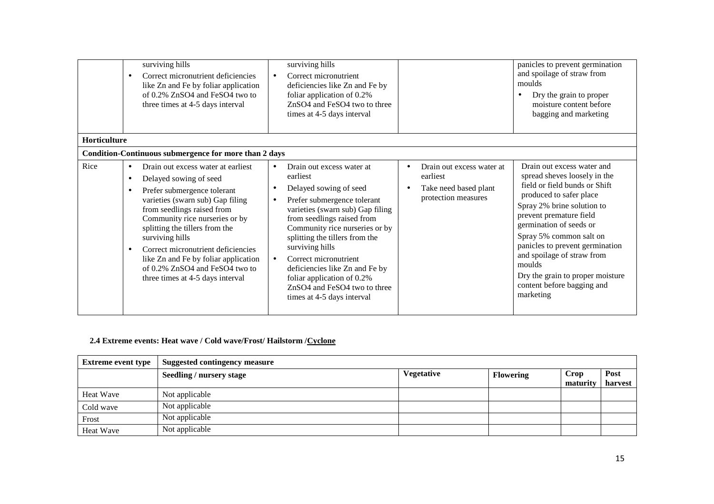|                     |                                     | surviving hills<br>Correct micronutrient deficiencies<br>like Zn and Fe by foliar application<br>of 0.2% ZnSO4 and FeSO4 two to<br>three times at 4-5 days interval                                                                                                                                                                                                                                      | $\bullet$                                        | surviving hills<br>Correct micronutrient<br>deficiencies like Zn and Fe by<br>foliar application of 0.2%<br>ZnSO4 and FeSO4 two to three<br>times at 4-5 days interval                                                                                                                                                                                                                                         |                                                                                       | panicles to prevent germination<br>and spoilage of straw from<br>moulds<br>Dry the grain to proper<br>moisture content before<br>bagging and marketing                                                                                                                                                                                                                                          |
|---------------------|-------------------------------------|----------------------------------------------------------------------------------------------------------------------------------------------------------------------------------------------------------------------------------------------------------------------------------------------------------------------------------------------------------------------------------------------------------|--------------------------------------------------|----------------------------------------------------------------------------------------------------------------------------------------------------------------------------------------------------------------------------------------------------------------------------------------------------------------------------------------------------------------------------------------------------------------|---------------------------------------------------------------------------------------|-------------------------------------------------------------------------------------------------------------------------------------------------------------------------------------------------------------------------------------------------------------------------------------------------------------------------------------------------------------------------------------------------|
| <b>Horticulture</b> |                                     |                                                                                                                                                                                                                                                                                                                                                                                                          |                                                  |                                                                                                                                                                                                                                                                                                                                                                                                                |                                                                                       |                                                                                                                                                                                                                                                                                                                                                                                                 |
|                     |                                     | Condition-Continuous submergence for more than 2 days                                                                                                                                                                                                                                                                                                                                                    |                                                  |                                                                                                                                                                                                                                                                                                                                                                                                                |                                                                                       |                                                                                                                                                                                                                                                                                                                                                                                                 |
| Rice                | $\bullet$<br>$\bullet$<br>$\bullet$ | Drain out excess water at earliest<br>Delayed sowing of seed<br>Prefer submergence tolerant<br>varieties (swarn sub) Gap filing<br>from seedlings raised from<br>Community rice nurseries or by<br>splitting the tillers from the<br>surviving hills<br>Correct micronutrient deficiencies<br>like Zn and Fe by foliar application<br>of 0.2% ZnSO4 and FeSO4 two to<br>three times at 4-5 days interval | $\bullet$<br>$\bullet$<br>$\bullet$<br>$\bullet$ | Drain out excess water at<br>earliest<br>Delayed sowing of seed<br>Prefer submergence tolerant<br>varieties (swarn sub) Gap filing<br>from seedlings raised from<br>Community rice nurseries or by<br>splitting the tillers from the<br>surviving hills<br>Correct micronutrient<br>deficiencies like Zn and Fe by<br>foliar application of 0.2%<br>ZnSO4 and FeSO4 two to three<br>times at 4-5 days interval | Drain out excess water at<br>earliest<br>Take need based plant<br>protection measures | Drain out excess water and<br>spread sheves loosely in the<br>field or field bunds or Shift<br>produced to safer place<br>Spray 2% brine solution to<br>prevent premature field<br>germination of seeds or<br>Spray 5% common salt on<br>panicles to prevent germination<br>and spoilage of straw from<br>moulds<br>Dry the grain to proper moisture<br>content before bagging and<br>marketing |

# **2.4 Extreme events: Heat wave / Cold wave/Frost/ Hailstorm /Cyclone**

| <b>Extreme event type</b> | Suggested contingency measure |                   |                  |                  |                 |  |
|---------------------------|-------------------------------|-------------------|------------------|------------------|-----------------|--|
|                           | Seedling / nursery stage      | <b>Vegetative</b> | <b>Flowering</b> | Crop<br>maturity | Post<br>harvest |  |
| Heat Wave                 | Not applicable                |                   |                  |                  |                 |  |
| Cold wave                 | Not applicable                |                   |                  |                  |                 |  |
| Frost                     | Not applicable                |                   |                  |                  |                 |  |
| Heat Wave                 | Not applicable                |                   |                  |                  |                 |  |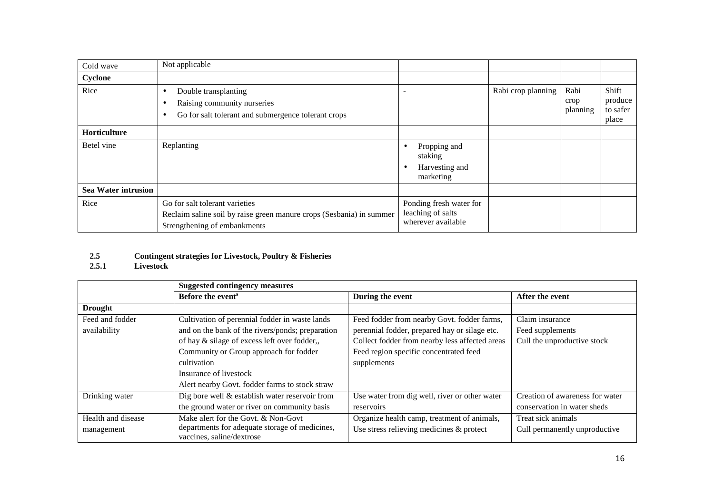| Cold wave                  | Not applicable                                                                                                                         |                                                                    |                    |                          |                                       |
|----------------------------|----------------------------------------------------------------------------------------------------------------------------------------|--------------------------------------------------------------------|--------------------|--------------------------|---------------------------------------|
| Cyclone                    |                                                                                                                                        |                                                                    |                    |                          |                                       |
| Rice                       | Double transplanting<br>٠<br>Raising community nurseries<br>Go for salt tolerant and submergence tolerant crops<br>٠                   |                                                                    | Rabi crop planning | Rabi<br>crop<br>planning | Shift<br>produce<br>to safer<br>place |
| Horticulture               |                                                                                                                                        |                                                                    |                    |                          |                                       |
| Betel vine                 | Replanting                                                                                                                             | Propping and<br>staking<br>Harvesting and<br>marketing             |                    |                          |                                       |
| <b>Sea Water intrusion</b> |                                                                                                                                        |                                                                    |                    |                          |                                       |
| Rice                       | Go for salt tolerant varieties<br>Reclaim saline soil by raise green manure crops (Sesbania) in summer<br>Strengthening of embankments | Ponding fresh water for<br>leaching of salts<br>wherever available |                    |                          |                                       |

# **2.5Contingent strategies for Livestock, Poultry & Fisheries 2.5.1 Livestock**

|                    | <b>Suggested contingency measures</b>                                       |                                                |                                 |
|--------------------|-----------------------------------------------------------------------------|------------------------------------------------|---------------------------------|
|                    | Before the event <sup>s</sup>                                               | During the event                               | After the event                 |
| <b>Drought</b>     |                                                                             |                                                |                                 |
| Feed and fodder    | Cultivation of perennial fodder in waste lands                              | Feed fodder from nearby Govt. fodder farms,    | Claim insurance                 |
| availability       | and on the bank of the rivers/ponds; preparation                            | perennial fodder, prepared hay or silage etc.  | Feed supplements                |
|                    | of hay & silage of excess left over fodder,,                                | Collect fodder from nearby less affected areas | Cull the unproductive stock     |
|                    | Community or Group approach for fodder                                      | Feed region specific concentrated feed         |                                 |
|                    | cultivation                                                                 | supplements                                    |                                 |
|                    | Insurance of livestock                                                      |                                                |                                 |
|                    | Alert nearby Govt. fodder farms to stock straw                              |                                                |                                 |
| Drinking water     | Dig bore well & establish water reservoir from                              | Use water from dig well, river or other water  | Creation of awareness for water |
|                    | the ground water or river on community basis                                | reservoirs                                     | conservation in water sheds     |
| Health and disease | Make alert for the Govt. & Non-Govt                                         | Organize health camp, treatment of animals,    | Treat sick animals              |
| management         | departments for adequate storage of medicines,<br>vaccines, saline/dextrose | Use stress relieving medicines $\&$ protect    | Cull permanently unproductive   |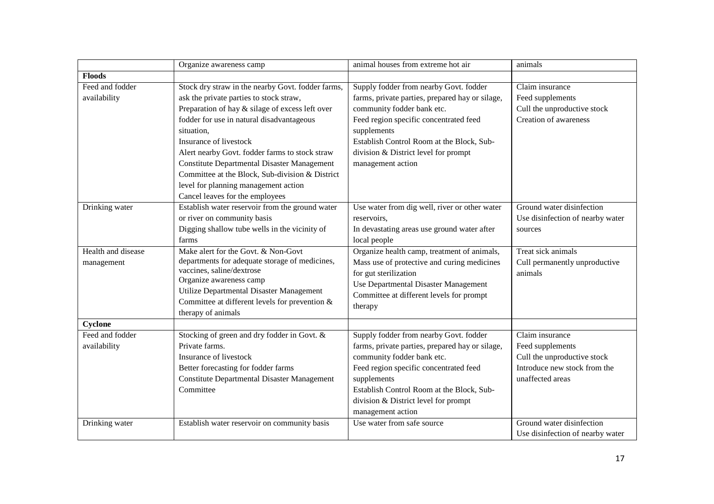|                    | Organize awareness camp                            | animal houses from extreme hot air              | animals                          |
|--------------------|----------------------------------------------------|-------------------------------------------------|----------------------------------|
| <b>Floods</b>      |                                                    |                                                 |                                  |
| Feed and fodder    | Stock dry straw in the nearby Govt. fodder farms,  | Supply fodder from nearby Govt. fodder          | Claim insurance                  |
| availability       | ask the private parties to stock straw,            | farms, private parties, prepared hay or silage, | Feed supplements                 |
|                    | Preparation of hay & silage of excess left over    | community fodder bank etc.                      | Cull the unproductive stock      |
|                    | fodder for use in natural disadvantageous          | Feed region specific concentrated feed          | Creation of awareness            |
|                    | situation,                                         | supplements                                     |                                  |
|                    | Insurance of livestock                             | Establish Control Room at the Block, Sub-       |                                  |
|                    | Alert nearby Govt. fodder farms to stock straw     | division & District level for prompt            |                                  |
|                    | <b>Constitute Departmental Disaster Management</b> | management action                               |                                  |
|                    | Committee at the Block, Sub-division & District    |                                                 |                                  |
|                    | level for planning management action               |                                                 |                                  |
|                    | Cancel leaves for the employees                    |                                                 |                                  |
| Drinking water     | Establish water reservoir from the ground water    | Use water from dig well, river or other water   | Ground water disinfection        |
|                    | or river on community basis                        | reservoirs.                                     | Use disinfection of nearby water |
|                    | Digging shallow tube wells in the vicinity of      | In devastating areas use ground water after     | sources                          |
|                    | farms                                              | local people                                    |                                  |
| Health and disease | Make alert for the Govt. & Non-Govt                | Organize health camp, treatment of animals,     | Treat sick animals               |
| management         | departments for adequate storage of medicines,     | Mass use of protective and curing medicines     | Cull permanently unproductive    |
|                    | vaccines, saline/dextrose                          | for gut sterilization                           | animals                          |
|                    | Organize awareness camp                            | Use Departmental Disaster Management            |                                  |
|                    | Utilize Departmental Disaster Management           | Committee at different levels for prompt        |                                  |
|                    | Committee at different levels for prevention $\&$  | therapy                                         |                                  |
|                    | therapy of animals                                 |                                                 |                                  |
| Cyclone            |                                                    |                                                 |                                  |
| Feed and fodder    | Stocking of green and dry fodder in Govt. &        | Supply fodder from nearby Govt. fodder          | Claim insurance                  |
| availability       | Private farms.                                     | farms, private parties, prepared hay or silage, | Feed supplements                 |
|                    | Insurance of livestock                             | community fodder bank etc.                      | Cull the unproductive stock      |
|                    | Better forecasting for fodder farms                | Feed region specific concentrated feed          | Introduce new stock from the     |
|                    | <b>Constitute Departmental Disaster Management</b> | supplements                                     | unaffected areas                 |
|                    | Committee                                          | Establish Control Room at the Block, Sub-       |                                  |
|                    |                                                    | division & District level for prompt            |                                  |
|                    |                                                    | management action                               |                                  |
| Drinking water     | Establish water reservoir on community basis       | Use water from safe source                      | Ground water disinfection        |
|                    |                                                    |                                                 | Use disinfection of nearby water |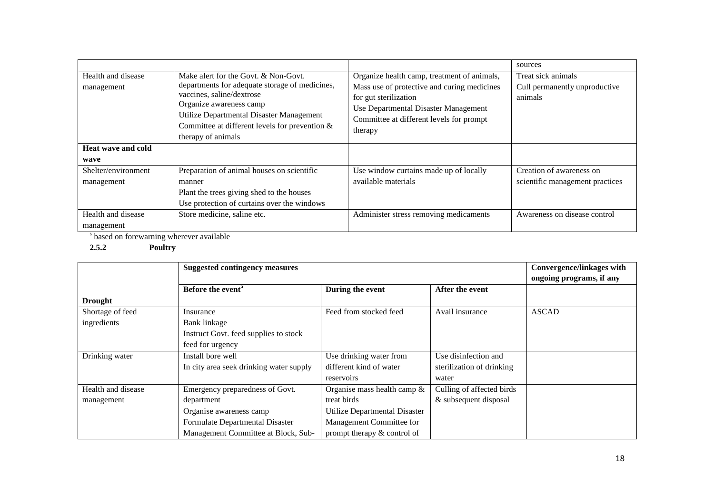|                                  |                                                                                                                                                                                                                                                                       |                                                                                                                                                                                                                    | sources                                                        |
|----------------------------------|-----------------------------------------------------------------------------------------------------------------------------------------------------------------------------------------------------------------------------------------------------------------------|--------------------------------------------------------------------------------------------------------------------------------------------------------------------------------------------------------------------|----------------------------------------------------------------|
| Health and disease<br>management | Make alert for the Govt. & Non-Govt.<br>departments for adequate storage of medicines,<br>vaccines, saline/dextrose<br>Organize awareness camp<br>Utilize Departmental Disaster Management<br>Committee at different levels for prevention $\&$<br>therapy of animals | Organize health camp, treatment of animals,<br>Mass use of protective and curing medicines<br>for gut sterilization<br>Use Departmental Disaster Management<br>Committee at different levels for prompt<br>therapy | Treat sick animals<br>Cull permanently unproductive<br>animals |
| <b>Heat wave and cold</b>        |                                                                                                                                                                                                                                                                       |                                                                                                                                                                                                                    |                                                                |
| wave                             |                                                                                                                                                                                                                                                                       |                                                                                                                                                                                                                    |                                                                |
| Shelter/environment              | Preparation of animal houses on scientific                                                                                                                                                                                                                            | Use window curtains made up of locally                                                                                                                                                                             | Creation of awareness on                                       |
| management                       | manner                                                                                                                                                                                                                                                                | available materials                                                                                                                                                                                                | scientific management practices                                |
|                                  | Plant the trees giving shed to the houses                                                                                                                                                                                                                             |                                                                                                                                                                                                                    |                                                                |
|                                  | Use protection of curtains over the windows                                                                                                                                                                                                                           |                                                                                                                                                                                                                    |                                                                |
| Health and disease               | Store medicine, saline etc.                                                                                                                                                                                                                                           | Administer stress removing medicaments                                                                                                                                                                             | Awareness on disease control                                   |
| management                       |                                                                                                                                                                                                                                                                       |                                                                                                                                                                                                                    |                                                                |

s based on forewarning wherever available

**2.5.2 Poultry** 

|                    | <b>Suggested contingency measures</b>   |                                | <b>Convergence/linkages with</b> |              |
|--------------------|-----------------------------------------|--------------------------------|----------------------------------|--------------|
|                    |                                         |                                | ongoing programs, if any         |              |
|                    | Before the event <sup>a</sup>           | During the event               | After the event                  |              |
| <b>Drought</b>     |                                         |                                |                                  |              |
| Shortage of feed   | Insurance                               | Feed from stocked feed         | Avail insurance                  | <b>ASCAD</b> |
| ingredients        | Bank linkage                            |                                |                                  |              |
|                    | Instruct Govt. feed supplies to stock   |                                |                                  |              |
|                    | feed for urgency                        |                                |                                  |              |
| Drinking water     | Install bore well                       | Use drinking water from        | Use disinfection and             |              |
|                    | In city area seek drinking water supply | different kind of water        | sterilization of drinking        |              |
|                    |                                         | reservoirs                     | water                            |              |
| Health and disease | Emergency preparedness of Govt.         | Organise mass health camp $\&$ | Culling of affected birds        |              |
| management         | department                              | treat birds                    | & subsequent disposal            |              |
|                    | Organise awareness camp                 | Utilize Departmental Disaster  |                                  |              |
|                    | Formulate Departmental Disaster         | Management Committee for       |                                  |              |
|                    | Management Committee at Block, Sub-     | prompt therapy & control of    |                                  |              |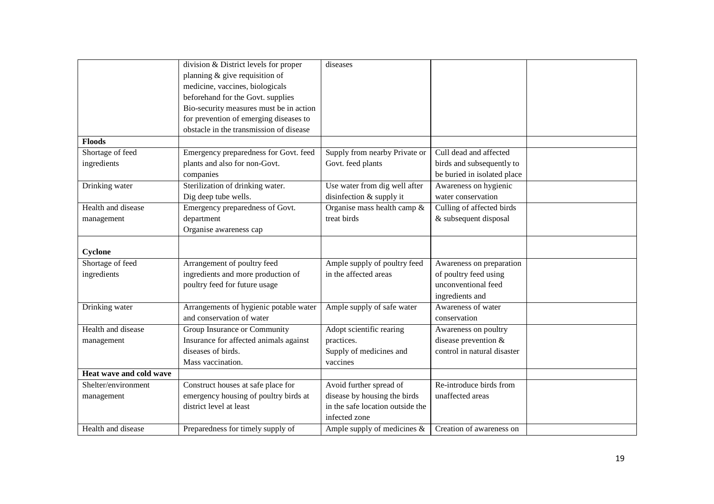|                         | division & District levels for proper   | diseases                         |                             |  |
|-------------------------|-----------------------------------------|----------------------------------|-----------------------------|--|
|                         | planning $&$ give requisition of        |                                  |                             |  |
|                         | medicine, vaccines, biologicals         |                                  |                             |  |
|                         | beforehand for the Govt. supplies       |                                  |                             |  |
|                         | Bio-security measures must be in action |                                  |                             |  |
|                         | for prevention of emerging diseases to  |                                  |                             |  |
|                         | obstacle in the transmission of disease |                                  |                             |  |
| <b>Floods</b>           |                                         |                                  |                             |  |
| Shortage of feed        | Emergency preparedness for Govt. feed   | Supply from nearby Private or    | Cull dead and affected      |  |
| ingredients             | plants and also for non-Govt.           | Govt. feed plants                | birds and subsequently to   |  |
|                         | companies                               |                                  | be buried in isolated place |  |
| Drinking water          | Sterilization of drinking water.        | Use water from dig well after    | Awareness on hygienic       |  |
|                         | Dig deep tube wells.                    | disinfection & supply it         | water conservation          |  |
| Health and disease      | Emergency preparedness of Govt.         | Organise mass health camp &      | Culling of affected birds   |  |
| management              | department                              | treat birds                      | & subsequent disposal       |  |
|                         | Organise awareness cap                  |                                  |                             |  |
|                         |                                         |                                  |                             |  |
| Cyclone                 |                                         |                                  |                             |  |
| Shortage of feed        | Arrangement of poultry feed             | Ample supply of poultry feed     | Awareness on preparation    |  |
| ingredients             | ingredients and more production of      | in the affected areas            | of poultry feed using       |  |
|                         | poultry feed for future usage           |                                  | unconventional feed         |  |
|                         |                                         |                                  | ingredients and             |  |
| Drinking water          | Arrangements of hygienic potable water  | Ample supply of safe water       | Awareness of water          |  |
|                         | and conservation of water               |                                  | conservation                |  |
| Health and disease      | Group Insurance or Community            | Adopt scientific rearing         | Awareness on poultry        |  |
| management              | Insurance for affected animals against  | practices.                       | disease prevention &        |  |
|                         | diseases of birds.                      | Supply of medicines and          | control in natural disaster |  |
|                         | Mass vaccination.                       | vaccines                         |                             |  |
| Heat wave and cold wave |                                         |                                  |                             |  |
| Shelter/environment     | Construct houses at safe place for      | Avoid further spread of          | Re-introduce birds from     |  |
| management              | emergency housing of poultry birds at   | disease by housing the birds     | unaffected areas            |  |
|                         | district level at least                 | in the safe location outside the |                             |  |
|                         |                                         | infected zone                    |                             |  |
| Health and disease      | Preparedness for timely supply of       | Ample supply of medicines $\&$   | Creation of awareness on    |  |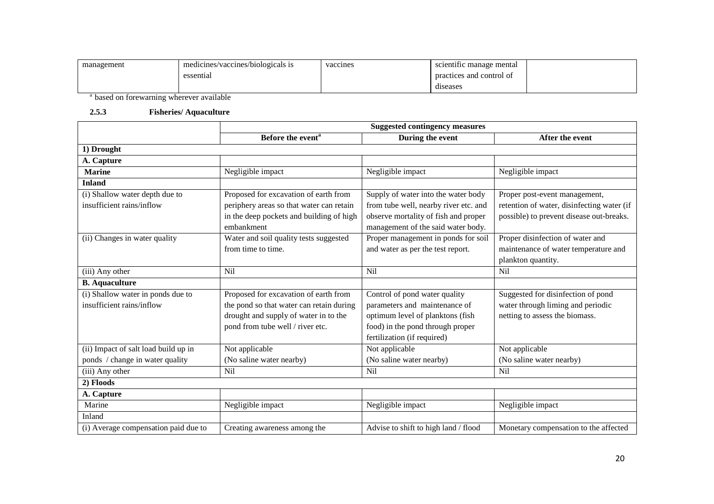| management | medicines/vaccines/biologicals is | vaccines | scientific manage mental |  |
|------------|-----------------------------------|----------|--------------------------|--|
|            | essential                         |          | practices and control of |  |
|            |                                   |          | diseases                 |  |

<sup>a</sup> based on forewarning wherever available

#### **2.5.3 Fisheries/ Aquaculture**

|                                      | <b>Suggested contingency measures</b>    |                                       |                                            |  |  |
|--------------------------------------|------------------------------------------|---------------------------------------|--------------------------------------------|--|--|
|                                      | Before the event <sup>a</sup>            | During the event                      | After the event                            |  |  |
| 1) Drought                           |                                          |                                       |                                            |  |  |
| A. Capture                           |                                          |                                       |                                            |  |  |
| <b>Marine</b>                        | Negligible impact                        | Negligible impact                     | Negligible impact                          |  |  |
| <b>Inland</b>                        |                                          |                                       |                                            |  |  |
| (i) Shallow water depth due to       | Proposed for excavation of earth from    | Supply of water into the water body   | Proper post-event management,              |  |  |
| insufficient rains/inflow            | periphery areas so that water can retain | from tube well, nearby river etc. and | retention of water, disinfecting water (if |  |  |
|                                      | in the deep pockets and building of high | observe mortality of fish and proper  | possible) to prevent disease out-breaks.   |  |  |
|                                      | embankment                               | management of the said water body.    |                                            |  |  |
| (ii) Changes in water quality        | Water and soil quality tests suggested   | Proper management in ponds for soil   | Proper disinfection of water and           |  |  |
|                                      | from time to time.                       | and water as per the test report.     | maintenance of water temperature and       |  |  |
|                                      |                                          |                                       | plankton quantity.                         |  |  |
| (iii) Any other                      | Nil                                      | Nil                                   | Nil                                        |  |  |
| <b>B.</b> Aquaculture                |                                          |                                       |                                            |  |  |
| (i) Shallow water in ponds due to    | Proposed for excavation of earth from    | Control of pond water quality         | Suggested for disinfection of pond         |  |  |
| insufficient rains/inflow            | the pond so that water can retain during | parameters and maintenance of         | water through liming and periodic          |  |  |
|                                      | drought and supply of water in to the    | optimum level of planktons (fish      | netting to assess the biomass.             |  |  |
|                                      | pond from tube well / river etc.         | food) in the pond through proper      |                                            |  |  |
|                                      |                                          | fertilization (if required)           |                                            |  |  |
| (ii) Impact of salt load build up in | Not applicable                           | Not applicable                        | Not applicable                             |  |  |
| ponds / change in water quality      | (No saline water nearby)                 | (No saline water nearby)              | (No saline water nearby)                   |  |  |
| (iii) Any other                      | Nil                                      | Nil                                   | Nil                                        |  |  |
| 2) Floods                            |                                          |                                       |                                            |  |  |
| A. Capture                           |                                          |                                       |                                            |  |  |
| Marine                               | Negligible impact                        | Negligible impact                     | Negligible impact                          |  |  |
| Inland                               |                                          |                                       |                                            |  |  |
| (i) Average compensation paid due to | Creating awareness among the             | Advise to shift to high land / flood  | Monetary compensation to the affected      |  |  |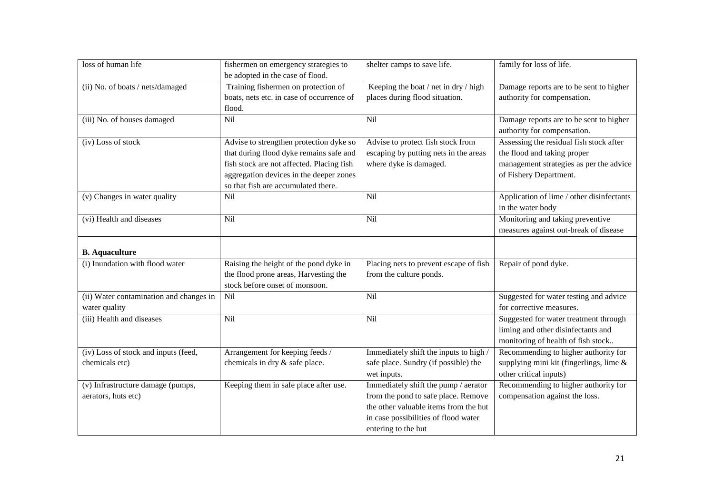| loss of human life                                       | fishermen on emergency strategies to<br>be adopted in the case of flood.                                                                                                                                          | shelter camps to save life.                                                                                                                                                         | family for loss of life.                                                                                                                    |
|----------------------------------------------------------|-------------------------------------------------------------------------------------------------------------------------------------------------------------------------------------------------------------------|-------------------------------------------------------------------------------------------------------------------------------------------------------------------------------------|---------------------------------------------------------------------------------------------------------------------------------------------|
| (ii) No. of boats / nets/damaged                         | Training fishermen on protection of<br>boats, nets etc. in case of occurrence of<br>flood.                                                                                                                        | Keeping the boat / net in dry / high<br>places during flood situation.                                                                                                              | Damage reports are to be sent to higher<br>authority for compensation.                                                                      |
| (iii) No. of houses damaged                              | Nil                                                                                                                                                                                                               | Nil                                                                                                                                                                                 | Damage reports are to be sent to higher<br>authority for compensation.                                                                      |
| (iv) Loss of stock                                       | Advise to strengthen protection dyke so<br>that during flood dyke remains safe and<br>fish stock are not affected. Placing fish<br>aggregation devices in the deeper zones<br>so that fish are accumulated there. | Advise to protect fish stock from<br>escaping by putting nets in the areas<br>where dyke is damaged.                                                                                | Assessing the residual fish stock after<br>the flood and taking proper<br>management strategies as per the advice<br>of Fishery Department. |
| (v) Changes in water quality                             | Nil                                                                                                                                                                                                               | Nil                                                                                                                                                                                 | Application of lime / other disinfectants<br>in the water body                                                                              |
| (vi) Health and diseases                                 | Nil                                                                                                                                                                                                               | Nil                                                                                                                                                                                 | Monitoring and taking preventive<br>measures against out-break of disease                                                                   |
| <b>B.</b> Aquaculture                                    |                                                                                                                                                                                                                   |                                                                                                                                                                                     |                                                                                                                                             |
| (i) Inundation with flood water                          | Raising the height of the pond dyke in<br>the flood prone areas, Harvesting the<br>stock before onset of monsoon.                                                                                                 | Placing nets to prevent escape of fish<br>from the culture ponds.                                                                                                                   | Repair of pond dyke.                                                                                                                        |
| (ii) Water contamination and changes in<br>water quality | Nil                                                                                                                                                                                                               | Nil                                                                                                                                                                                 | Suggested for water testing and advice<br>for corrective measures.                                                                          |
| (iii) Health and diseases                                | Nil                                                                                                                                                                                                               | Nil                                                                                                                                                                                 | Suggested for water treatment through<br>liming and other disinfectants and<br>monitoring of health of fish stock                           |
| (iv) Loss of stock and inputs (feed,<br>chemicals etc)   | Arrangement for keeping feeds /<br>chemicals in dry & safe place.                                                                                                                                                 | Immediately shift the inputs to high /<br>safe place. Sundry (if possible) the<br>wet inputs.                                                                                       | Recommending to higher authority for<br>supplying mini kit (fingerlings, lime &<br>other critical inputs)                                   |
| (v) Infrastructure damage (pumps,<br>aerators, huts etc) | Keeping them in safe place after use.                                                                                                                                                                             | Immediately shift the pump / aerator<br>from the pond to safe place. Remove<br>the other valuable items from the hut<br>in case possibilities of flood water<br>entering to the hut | Recommending to higher authority for<br>compensation against the loss.                                                                      |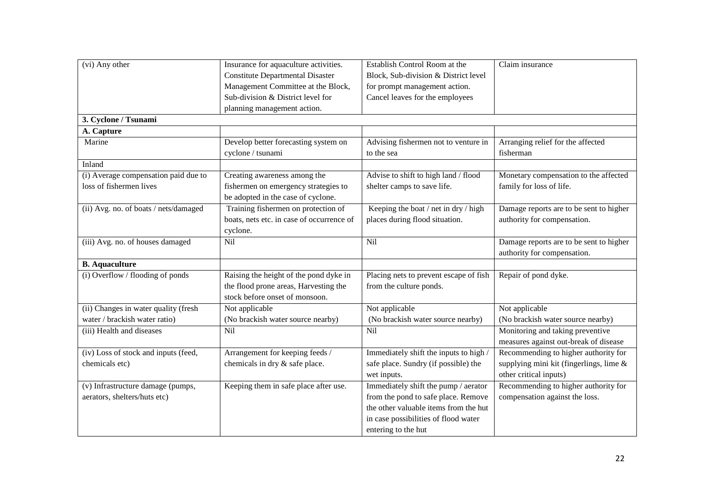| (vi) Any other                        | Insurance for aquaculture activities.     | Establish Control Room at the          | Claim insurance                         |
|---------------------------------------|-------------------------------------------|----------------------------------------|-----------------------------------------|
|                                       | <b>Constitute Departmental Disaster</b>   | Block, Sub-division & District level   |                                         |
|                                       | Management Committee at the Block,        | for prompt management action.          |                                         |
|                                       | Sub-division & District level for         | Cancel leaves for the employees        |                                         |
|                                       | planning management action.               |                                        |                                         |
| 3. Cyclone / Tsunami                  |                                           |                                        |                                         |
| A. Capture                            |                                           |                                        |                                         |
| Marine                                | Develop better forecasting system on      | Advising fishermen not to venture in   | Arranging relief for the affected       |
|                                       | cyclone / tsunami                         | to the sea                             | fisherman                               |
| Inland                                |                                           |                                        |                                         |
| (i) Average compensation paid due to  | Creating awareness among the              | Advise to shift to high land / flood   | Monetary compensation to the affected   |
| loss of fishermen lives               | fishermen on emergency strategies to      | shelter camps to save life.            | family for loss of life.                |
|                                       | be adopted in the case of cyclone.        |                                        |                                         |
| (ii) Avg. no. of boats / nets/damaged | Training fishermen on protection of       | Keeping the boat / net in dry / high   | Damage reports are to be sent to higher |
|                                       | boats, nets etc. in case of occurrence of | places during flood situation.         | authority for compensation.             |
|                                       | cyclone.                                  |                                        |                                         |
| (iii) Avg. no. of houses damaged      | $\overline{Nil}$                          | Nil                                    | Damage reports are to be sent to higher |
|                                       |                                           |                                        | authority for compensation.             |
| <b>B.</b> Aquaculture                 |                                           |                                        |                                         |
| (i) Overflow / flooding of ponds      | Raising the height of the pond dyke in    | Placing nets to prevent escape of fish | Repair of pond dyke.                    |
|                                       | the flood prone areas, Harvesting the     | from the culture ponds.                |                                         |
|                                       | stock before onset of monsoon.            |                                        |                                         |
| (ii) Changes in water quality (fresh  | Not applicable                            | Not applicable                         | Not applicable                          |
| water / brackish water ratio)         | (No brackish water source nearby)         | (No brackish water source nearby)      | (No brackish water source nearby)       |
| (iii) Health and diseases             | Nil                                       | Nil                                    | Monitoring and taking preventive        |
|                                       |                                           |                                        | measures against out-break of disease   |
| (iv) Loss of stock and inputs (feed,  | Arrangement for keeping feeds /           | Immediately shift the inputs to high / | Recommending to higher authority for    |
| chemicals etc)                        | chemicals in dry & safe place.            | safe place. Sundry (if possible) the   | supplying mini kit (fingerlings, lime & |
|                                       |                                           | wet inputs.                            | other critical inputs)                  |
| (v) Infrastructure damage (pumps,     | Keeping them in safe place after use.     | Immediately shift the pump / aerator   | Recommending to higher authority for    |
| aerators, shelters/huts etc)          |                                           | from the pond to safe place. Remove    | compensation against the loss.          |
|                                       |                                           | the other valuable items from the hut  |                                         |
|                                       |                                           | in case possibilities of flood water   |                                         |
|                                       |                                           | entering to the hut                    |                                         |